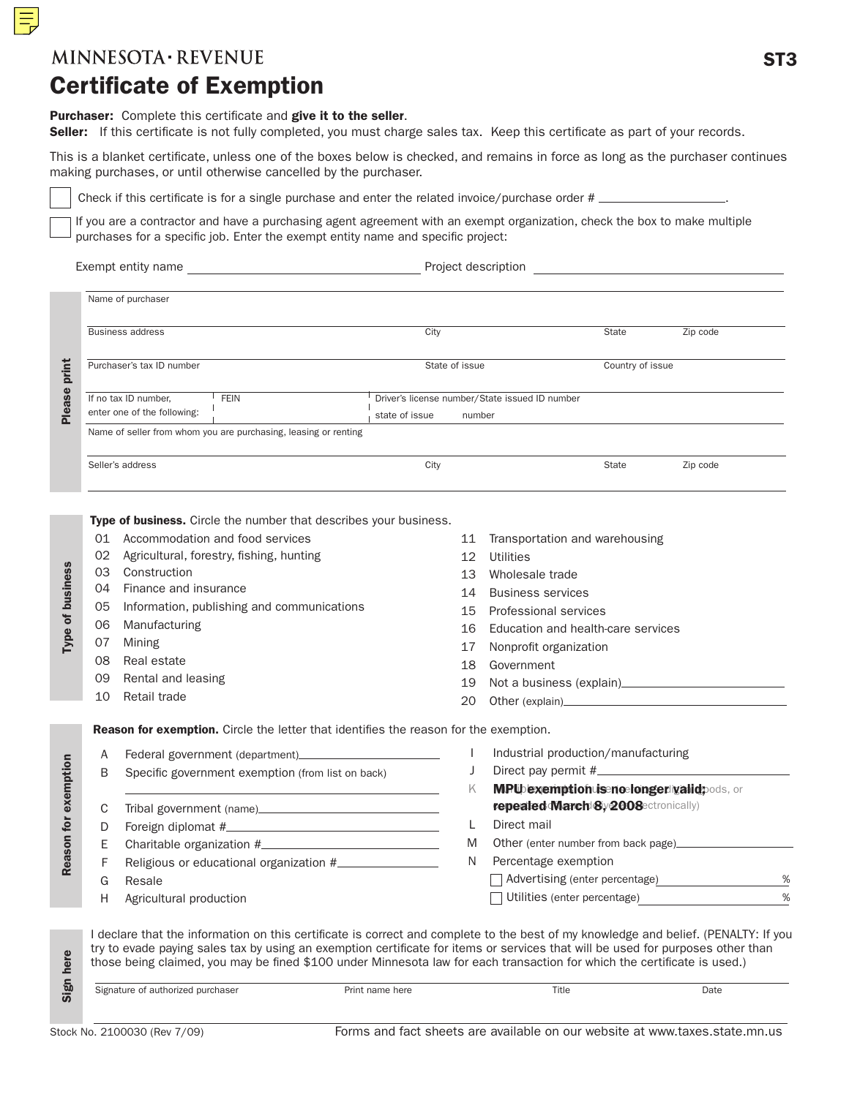#### **MINNESOTA REVENUE**

# Certificate of Exemption

#### Purchaser: Complete this certificate and give it to the seller.

Seller: If this certificate is not fully completed, you must charge sales tax. Keep this certificate as part of your records.

This is a blanket certificate, unless one of the boxes below is checked, and remains in force as long as the purchaser continues making purchases, or until otherwise cancelled by the purchaser.

Check if this certificate is for a single purchase and enter the related invoice/purchase order #  $\_\_$ 

If you are a contractor and have a purchasing agent agreement with an exempt organization, check the box to make multiple purchases for a specific job. Enter the exempt entity name and specific project:

Exempt entity name Project description

|  | Project description |
|--|---------------------|
|--|---------------------|

| Name of purchaser                                                  |                                                                            |       |                  |  |  |
|--------------------------------------------------------------------|----------------------------------------------------------------------------|-------|------------------|--|--|
| <b>Business address</b>                                            | City                                                                       | State | Zip code         |  |  |
| Purchaser's tax ID number                                          | State of issue                                                             |       | Country of issue |  |  |
| <b>FEIN</b><br>If no tax ID number,<br>enter one of the following: | Driver's license number/State issued ID number<br>state of issue<br>number |       |                  |  |  |
| Name of seller from whom you are purchasing, leasing or renting    |                                                                            |       |                  |  |  |
| Seller's address                                                   | City                                                                       | State | Zip code         |  |  |

Type of business. Circle the number that describes your business.

- 01 Accommodation and food services
- 02 Agricultural, forestry, fishing, hunting
- 03 Construction
- 04 Finance and insurance
- 05 Information, publishing and communications
- 06 Manufacturing
- 07 Mining
- 08 Real estate
- 09 Rental and leasing
- 10 Retail trade
- 11 Transportation and warehousing
- 12 Utilities
- 13 Wholesale trade
- 14 Business services
- 15 Professional services
- 16 Education and health-care services
- 17 Nonprofit organization
- 18 Government
- 19 Not a business (explain)
- 20 Other (explain)

Reason for exemption. Circle the letter that identifies the reason for the exemption.

| A  | Federal government (department)                   |   | Industrial production/manufacturing       |   |
|----|---------------------------------------------------|---|-------------------------------------------|---|
| B  | Specific government exemption (from list on back) |   |                                           |   |
|    |                                                   |   | MPUbexemptionuisenoelongerligalidpods, or |   |
| C. |                                                   |   | repeated March 8y 2008 ectronically)      |   |
| D. |                                                   |   | Direct mail                               |   |
| F. | Charitable organization #                         | M | Other (enter number from back page)       |   |
|    | Religious or educational organization #           | N | Percentage exemption                      |   |
| G  | Resale                                            |   | Advertising (enter percentage)            | % |
| H. | Agricultural production                           |   | Utilities (enter percentage)              | % |

I declare that the information on this certificate is correct and complete to the best of my knowledge and belief. (PENALTY: If you try to evade paying sales tax by using an exemption certificate for items or services that will be used for purposes other than those being claimed, you may be fined \$100 under Minnesota law for each transaction for which the certificate is used.)

Reason for exemption

Reason for exemption

Type of business

Type of business

| Signature of authorized purchaser |  |
|-----------------------------------|--|
|-----------------------------------|--|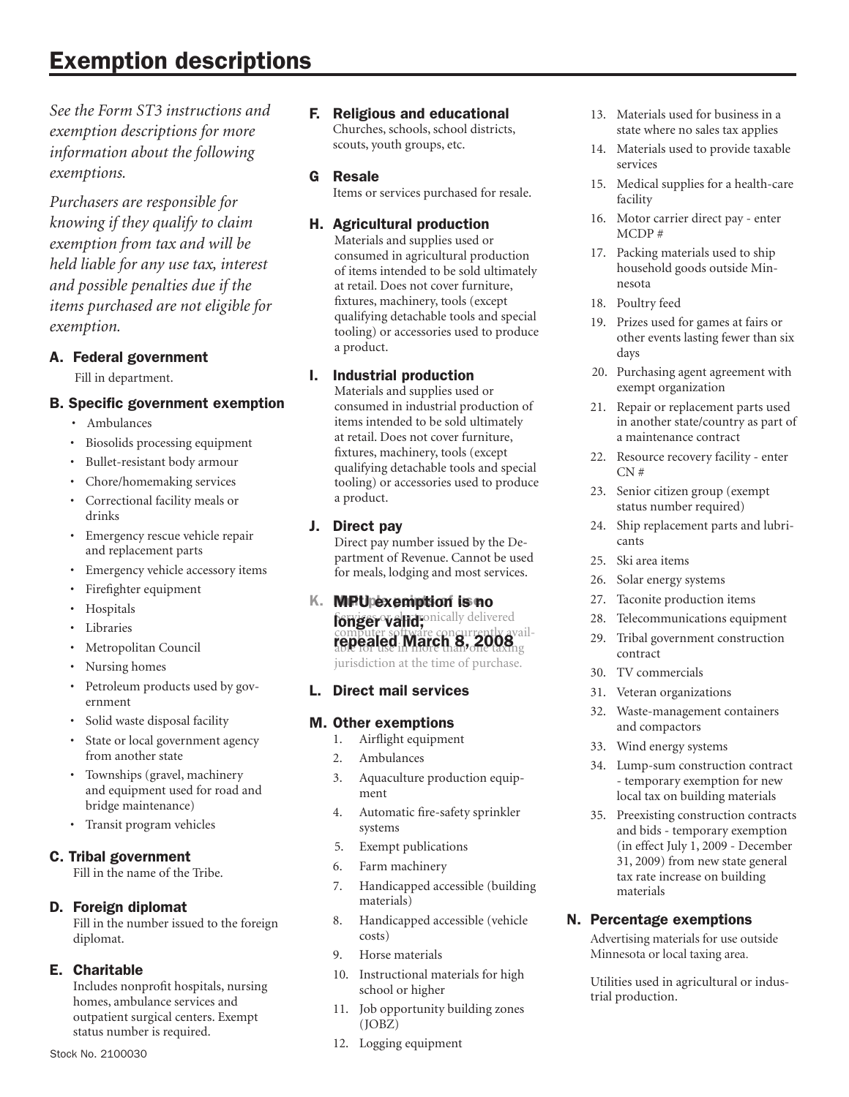# Exemption descriptions

*See the Form ST3 instructions and exemption descriptions for more information about the following exemptions.*

*Purchasers are responsible for knowing if they qualify to claim exemption from tax and will be held liable for any use tax, interest and possible penalties due if the items purchased are not eligible for exemption.*

#### A. Federal government

Fill in department.

#### B. Specific government exemption

- • Ambulances
- • Biosolids processing equipment
- • Bullet-resistant body armour
- Chore/homemaking services
- • Correctional facility meals or drinks
- • Emergency rescue vehicle repair and replacement parts
- Emergency vehicle accessory items
- Firefighter equipment
- • Hospitals
- Libraries
- • Metropolitan Council
- Nursing homes
- Petroleum products used by government
- • Solid waste disposal facility
- State or local government agency from another state
- Townships (gravel, machinery and equipment used for road and bridge maintenance)
- • Transit program vehicles

#### C. Tribal government

 Fill in the name of the Tribe.

#### D. Foreign diplomat

 Fill in the number issued to the foreign diplomat.

#### E. Charitable

 Includes nonprofit hospitals, nursing homes, ambulance services and outpatient surgical centers. Exempt status number is required.

- F. Religious and educational Churches, schools, school districts, scouts, youth groups, etc.
- G Resale

Items or services purchased for resale.

#### H. Agricultural production

 Materials and supplies used or consumed in agricultural production of items intended to be sold ultimately at retail. Does not cover furniture, fixtures, machinery, tools (except qualifying detachable tools and special tooling) or accessories used to produce a product.

#### I. Industrial production

 Materials and supplies used or consumed in industrial production of items intended to be sold ultimately at retail. Does not cover furniture, fixtures, machinery, tools (except qualifying detachable tools and special tooling) or accessories used to produce a product.

#### J. Direct pay

 Direct pay number issued by the Department of Revenue. Cannot be used for meals, lodging and most services.

#### K. MPU exemption is no

longer valid; mically delivered computer software concurrently availrepealed March 8, 2008

jurisdiction at the time of purchase.

#### L. Direct mail services

#### M. Other exemptions

- 1. Airflight equipment
- 2. Ambulances
- 3. Aquaculture production equip ment
- 4. Automatic fire-safety sprinkler systems
- 5. Exempt publications
- 6. Farm machinery
- 7. Handicapped accessible (building materials)
- 8. Handicapped accessible (vehicle costs)
- 9. Horse materials
- 10. Instructional materials for high school or higher
- 11. Job opportunity building zones (JOBZ)
- 12. Logging equipment
- 13. Materials used for business in a state where no sales tax applies
- 14. Materials used to provide taxable services
- 15. Medical supplies for a health-care facility
- 16. Motor carrier direct pay enter MCDP #
- 17. Packing materials used to ship household goods outside Min- nesota
- 18. Poultry feed
- 19. Prizes used for games at fairs or other events lasting fewer than six days
- 20. Purchasing agent agreement with exempt organization
- 21. Repair or replacement parts used in another state/country as part of a maintenance contract
- 22. Resource recovery facility enter CN #
- 23. Senior citizen group (exempt status number required)
- 24. Ship replacement parts and lubri- cants
- 25. Ski area items
- 26. Solar energy systems
- 27. Taconite production items
- 28. Telecommunications equipment
- 29. Tribal government construction contract
- 30. TV commercials
- 31. Veteran organizations
- 32. Waste-management containers and compactors
- 33. Wind energy systems
- 34. Lump-sum construction contract - temporary exemption for new local tax on building materials
- 35. Preexisting construction contracts and bids - temporary exemption (in effect July 1, 2009 - December 31, 2009) from new state general tax rate increase on building materials

#### N. Percentage exemptions

Advertising materials for use outside Minnesota or local taxing area.

Utilities used in agricultural or indus- trial production.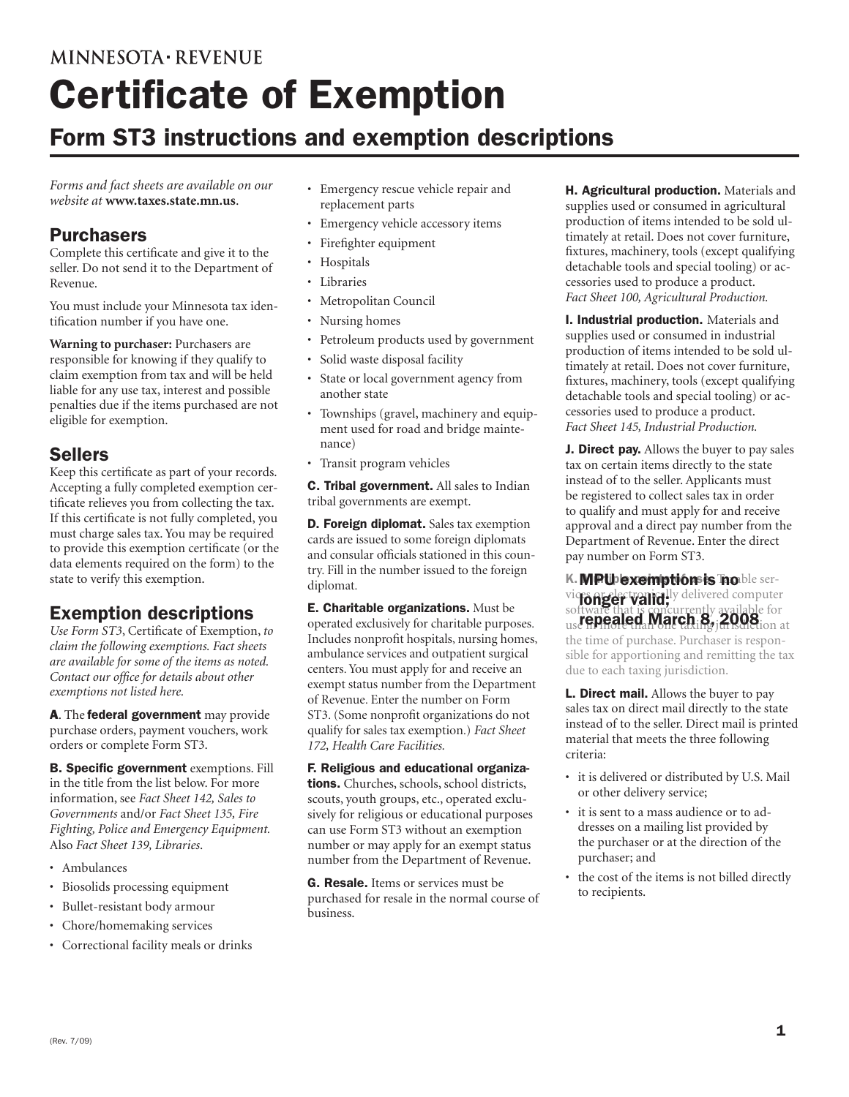## **MINNESOTA REVENUE**

# Certificate of Exemption

# Form ST3 instructions and exemption descriptions

*Forms and fact sheets are available on our website at* **www.taxes.state.mn.us**.

### **Purchasers**

Complete this certificate and give it to the seller. Do not send it to the Department of Revenue.

You must include your Minnesota tax identification number if you have one.

**Warning to purchaser:** Purchasers are responsible for knowing if they qualify to claim exemption from tax and will be held liable for any use tax, interest and possible penalties due if the items purchased are not eligible for exemption.

## Sellers

Keep this certificate as part of your records. Accepting a fully completed exemption certificate relieves you from collecting the tax. If this certificate is not fully completed, you must charge sales tax. You may be required to provide this exemption certificate (or the data elements required on the form) to the state to verify this exemption.

## Exemption descriptions

*Use Form ST3*, Certificate of Exemption, *to claim the following exemptions. Fact sheets are available for some of the items as noted. Contact our office for details about other exemptions not listed here.*

A. The federal government may provide purchase orders, payment vouchers, work orders or complete Form ST3.

B. Specific government exemptions. Fill in the title from the list below. For more information, see *Fact Sheet 142, Sales to Governments* and/or *Fact Sheet 135, Fire Fighting, Police and Emergency Equipment.*  Also *Fact Sheet 139, Libraries*.

- • Ambulances
- • Biosolids processing equipment
- • Bullet-resistant body armour
- • Chore/homemaking services
- • Correctional facility meals or drinks
- • Emergency rescue vehicle repair and replacement parts
- • Emergency vehicle accessory items
- Firefighter equipment
- • Hospitals
- • Libraries
- • Metropolitan Council
- Nursing homes
- • Petroleum products used by government
- Solid waste disposal facility
- • State or local government agency from another state
- Townships (gravel, machinery and equipment used for road and bridge maintenance)
- • Transit program vehicles

C. Tribal government. All sales to Indian tribal governments are exempt.

**D. Foreign diplomat.** Sales tax exemption cards are issued to some foreign diplomats and consular officials stationed in this country. Fill in the number issued to the foreign diplomat.

E. Charitable organizations. Must be operated exclusively for charitable purposes. Includes nonprofit hospitals, nursing homes, ambulance services and outpatient surgical centers. You must apply for and receive an exempt status number from the Department of Revenue. Enter the number on Form ST3. (Some nonprofit organizations do not qualify for sales tax exemption.) *Fact Sheet 172, Health Care Facilities.*

F. Religious and educational organizations. Churches, schools, school districts, scouts, youth groups, etc., operated exclusively for religious or educational purposes can use Form ST3 without an exemption number or may apply for an exempt status number from the Department of Revenue.

**G. Resale.** Items or services must be purchased for resale in the normal course of business.

H. Agricultural production. Materials and supplies used or consumed in agricultural production of items intended to be sold ultimately at retail. Does not cover furniture, fixtures, machinery, tools (except qualifying detachable tools and special tooling) or accessories used to produce a product. *Fact Sheet 100, Agricultural Production.*

**I. Industrial production.** Materials and supplies used or consumed in industrial production of items intended to be sold ultimately at retail. Does not cover furniture, fixtures, machinery, tools (except qualifying detachable tools and special tooling) or accessories used to produce a product. *Fact Sheet 145, Industrial Production.*

**J. Direct pay.** Allows the buyer to pay sales tax on certain items directly to the state instead of to the seller. Applicants must be registered to collect sales tax in order to qualify and must apply for and receive approval and a direct pay number from the Department of Revenue. Enter the direct pay number on Form ST3.

K. MPU exemption is noble servictorie decline in the local delivered computer software that is concurrently available for us**repealed March 8, 2008** ion at the time of purchase. Purchaser is responsible for apportioning and remitting the tax due to each taxing jurisdiction.

L. Direct mail. Allows the buyer to pay sales tax on direct mail directly to the state instead of to the seller. Direct mail is printed material that meets the three following criteria:

- • it is delivered or distributed by U.S. Mail or other delivery service;
- it is sent to a mass audience or to addresses on a mailing list provided by the purchaser or at the direction of the purchaser; and
- the cost of the items is not billed directly to recipients.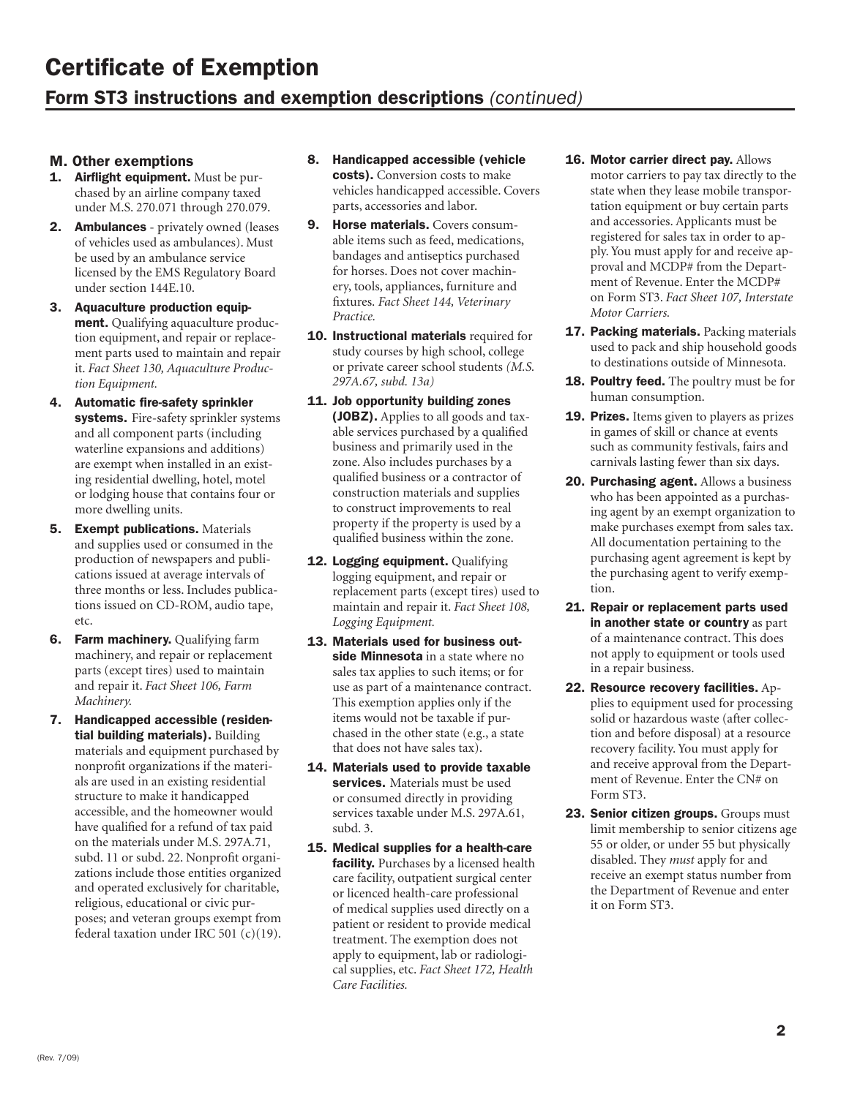# Certificate of Exemption Form ST3 instructions and exemption descriptions *(continued)*

#### M. Other exemptions

- 1. Airflight equipment. Must be purchased by an airline company taxed under M.S. 270.071 through 270.079.
- 2. Ambulances privately owned (leases of vehicles used as ambulances). Must be used by an ambulance service licensed by the EMS Regulatory Board under section 144E.10.
- 3. Aquaculture production equipment. Qualifying aquaculture production equipment, and repair or replacement parts used to maintain and repair it. *Fact Sheet 130, Aquaculture Production Equipment.*
- 4. Automatic fire-safety sprinkler systems. Fire-safety sprinkler systems and all component parts (including waterline expansions and additions) are exempt when installed in an existing residential dwelling, hotel, motel or lodging house that contains four or more dwelling units.
- **5. Exempt publications. Materials** and supplies used or consumed in the production of newspapers and publications issued at average intervals of three months or less. Includes publications issued on CD-ROM, audio tape, etc.
- **6.** Farm machinery. Qualifying farm machinery, and repair or replacement parts (except tires) used to maintain and repair it. *Fact Sheet 106, Farm Machinery.*
- 7. Handicapped accessible (residential building materials). Building materials and equipment purchased by nonprofit organizations if the materials are used in an existing residential structure to make it handicapped accessible, and the homeowner would have qualified for a refund of tax paid on the materials under M.S. 297A.71, subd. 11 or subd. 22. Nonprofit organizations include those entities organized and operated exclusively for charitable, religious, educational or civic purposes; and veteran groups exempt from federal taxation under IRC 501 (c)(19).

## 8. Handicapped accessible (vehicle

costs). Conversion costs to make vehicles handicapped accessible. Covers parts, accessories and labor.

- 9. Horse materials. Covers consumable items such as feed, medications, bandages and antiseptics purchased for horses. Does not cover machinery, tools, appliances, furniture and fixtures. *Fact Sheet 144, Veterinary Practice.*
- 10. Instructional materials required for study courses by high school, college or private career school students *(M.S. 297A.67, subd. 13a)*
- 11. Job opportunity building zones (JOBZ). Applies to all goods and taxable services purchased by a qualified business and primarily used in the zone. Also includes purchases by a qualified business or a contractor of construction materials and supplies to construct improvements to real property if the property is used by a qualified business within the zone.
- 12. Logging equipment. Qualifying logging equipment, and repair or replacement parts (except tires) used to maintain and repair it. *Fact Sheet 108, Logging Equipment.*
- 13. Materials used for business outside Minnesota in a state where no sales tax applies to such items; or for use as part of a maintenance contract. This exemption applies only if the items would not be taxable if purchased in the other state (e.g., a state that does not have sales tax).
- 14. Materials used to provide taxable services. Materials must be used or consumed directly in providing services taxable under M.S. 297A.61, subd. 3.
- 15. Medical supplies for a health-care facility. Purchases by a licensed health care facility, outpatient surgical center or licenced health-care professional of medical supplies used directly on a patient or resident to provide medical treatment. The exemption does not apply to equipment, lab or radiological supplies, etc. *Fact Sheet 172, Health Care Facilities.*
- 16. Motor carrier direct pay. Allows motor carriers to pay tax directly to the state when they lease mobile transportation equipment or buy certain parts and accessories. Applicants must be registered for sales tax in order to apply. You must apply for and receive approval and MCDP# from the Department of Revenue. Enter the MCDP# on Form ST3. *Fact Sheet 107, Interstate Motor Carriers.*
- **17. Packing materials.** Packing materials used to pack and ship household goods to destinations outside of Minnesota.
- 18. Poultry feed. The poultry must be for human consumption.
- **19. Prizes.** Items given to players as prizes in games of skill or chance at events such as community festivals, fairs and carnivals lasting fewer than six days.
- 20. Purchasing agent. Allows a business who has been appointed as a purchasing agent by an exempt organization to make purchases exempt from sales tax. All documentation pertaining to the purchasing agent agreement is kept by the purchasing agent to verify exemption.
- 21. Repair or replacement parts used in another state or country as part of a maintenance contract. This does not apply to equipment or tools used in a repair business.
- 22. Resource recovery facilities. Applies to equipment used for processing solid or hazardous waste (after collection and before disposal) at a resource recovery facility. You must apply for and receive approval from the Department of Revenue. Enter the CN# on Form ST3.
- 23. Senior citizen groups. Groups must limit membership to senior citizens age 55 or older, or under 55 but physically disabled. They *must* apply for and receive an exempt status number from the Department of Revenue and enter it on Form ST3.